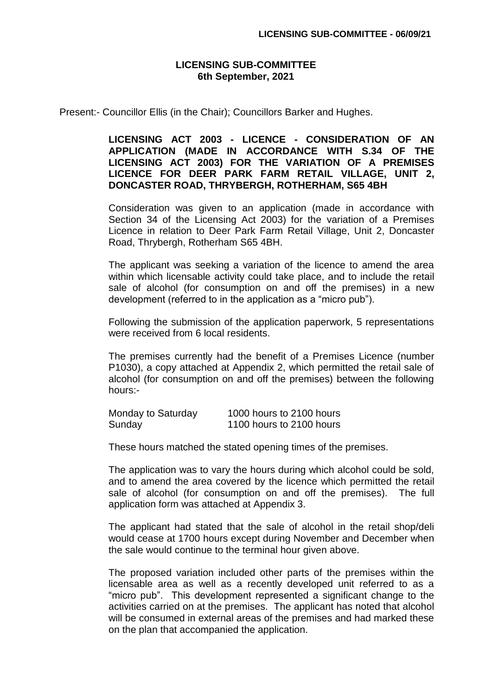## **LICENSING SUB-COMMITTEE 6th September, 2021**

Present:- Councillor Ellis (in the Chair); Councillors Barker and Hughes.

## **LICENSING ACT 2003 - LICENCE - CONSIDERATION OF AN APPLICATION (MADE IN ACCORDANCE WITH S.34 OF THE LICENSING ACT 2003) FOR THE VARIATION OF A PREMISES LICENCE FOR DEER PARK FARM RETAIL VILLAGE, UNIT 2, DONCASTER ROAD, THRYBERGH, ROTHERHAM, S65 4BH**

Consideration was given to an application (made in accordance with Section 34 of the Licensing Act 2003) for the variation of a Premises Licence in relation to Deer Park Farm Retail Village, Unit 2, Doncaster Road, Thrybergh, Rotherham S65 4BH.

The applicant was seeking a variation of the licence to amend the area within which licensable activity could take place, and to include the retail sale of alcohol (for consumption on and off the premises) in a new development (referred to in the application as a "micro pub").

Following the submission of the application paperwork, 5 representations were received from 6 local residents.

The premises currently had the benefit of a Premises Licence (number P1030), a copy attached at Appendix 2, which permitted the retail sale of alcohol (for consumption on and off the premises) between the following hours:-

| Monday to Saturday | 1000 hours to 2100 hours |
|--------------------|--------------------------|
| Sunday             | 1100 hours to 2100 hours |

These hours matched the stated opening times of the premises.

The application was to vary the hours during which alcohol could be sold, and to amend the area covered by the licence which permitted the retail sale of alcohol (for consumption on and off the premises). The full application form was attached at Appendix 3.

The applicant had stated that the sale of alcohol in the retail shop/deli would cease at 1700 hours except during November and December when the sale would continue to the terminal hour given above.

The proposed variation included other parts of the premises within the licensable area as well as a recently developed unit referred to as a "micro pub". This development represented a significant change to the activities carried on at the premises. The applicant has noted that alcohol will be consumed in external areas of the premises and had marked these on the plan that accompanied the application.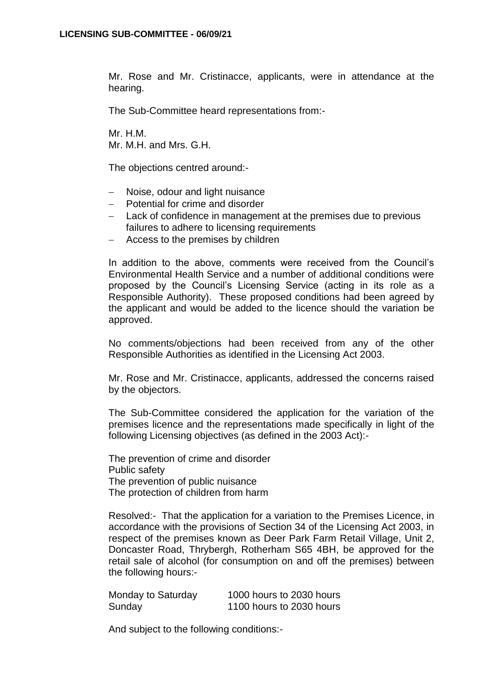Mr. Rose and Mr. Cristinacce, applicants, were in attendance at the hearing.

The Sub-Committee heard representations from:-

Mr. H.M. Mr. M.H. and Mrs. G.H.

The objections centred around:-

- Noise, odour and light nuisance
- Potential for crime and disorder
- Lack of confidence in management at the premises due to previous failures to adhere to licensing requirements
- Access to the premises by children

In addition to the above, comments were received from the Council's Environmental Health Service and a number of additional conditions were proposed by the Council's Licensing Service (acting in its role as a Responsible Authority). These proposed conditions had been agreed by the applicant and would be added to the licence should the variation be approved.

No comments/objections had been received from any of the other Responsible Authorities as identified in the Licensing Act 2003.

Mr. Rose and Mr. Cristinacce, applicants, addressed the concerns raised by the objectors.

The Sub-Committee considered the application for the variation of the premises licence and the representations made specifically in light of the following Licensing objectives (as defined in the 2003 Act):-

The prevention of crime and disorder Public safety The prevention of public nuisance The protection of children from harm

Resolved:- That the application for a variation to the Premises Licence, in accordance with the provisions of Section 34 of the Licensing Act 2003, in respect of the premises known as Deer Park Farm Retail Village, Unit 2, Doncaster Road, Thrybergh, Rotherham S65 4BH, be approved for the retail sale of alcohol (for consumption on and off the premises) between the following hours:-

| Monday to Saturday | 1000 hours to 2030 hours |
|--------------------|--------------------------|
| Sunday             | 1100 hours to 2030 hours |

And subject to the following conditions:-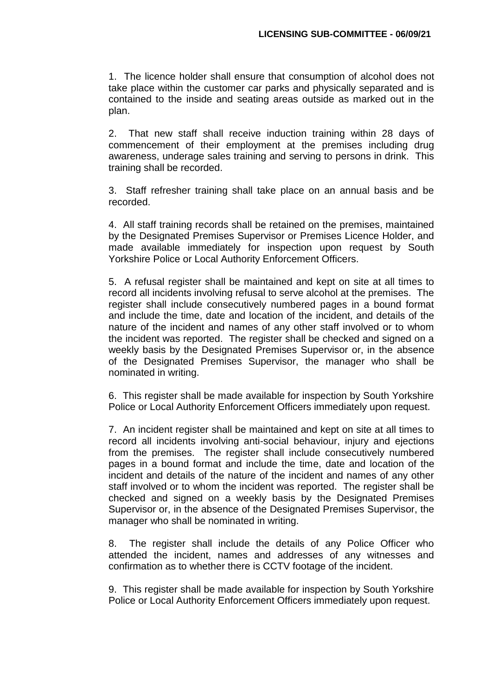1. The licence holder shall ensure that consumption of alcohol does not take place within the customer car parks and physically separated and is contained to the inside and seating areas outside as marked out in the plan.

2. That new staff shall receive induction training within 28 days of commencement of their employment at the premises including drug awareness, underage sales training and serving to persons in drink. This training shall be recorded.

3. Staff refresher training shall take place on an annual basis and be recorded.

4. All staff training records shall be retained on the premises, maintained by the Designated Premises Supervisor or Premises Licence Holder, and made available immediately for inspection upon request by South Yorkshire Police or Local Authority Enforcement Officers.

5. A refusal register shall be maintained and kept on site at all times to record all incidents involving refusal to serve alcohol at the premises. The register shall include consecutively numbered pages in a bound format and include the time, date and location of the incident, and details of the nature of the incident and names of any other staff involved or to whom the incident was reported. The register shall be checked and signed on a weekly basis by the Designated Premises Supervisor or, in the absence of the Designated Premises Supervisor, the manager who shall be nominated in writing.

6. This register shall be made available for inspection by South Yorkshire Police or Local Authority Enforcement Officers immediately upon request.

7. An incident register shall be maintained and kept on site at all times to record all incidents involving anti-social behaviour, injury and ejections from the premises. The register shall include consecutively numbered pages in a bound format and include the time, date and location of the incident and details of the nature of the incident and names of any other staff involved or to whom the incident was reported. The register shall be checked and signed on a weekly basis by the Designated Premises Supervisor or, in the absence of the Designated Premises Supervisor, the manager who shall be nominated in writing.

8. The register shall include the details of any Police Officer who attended the incident, names and addresses of any witnesses and confirmation as to whether there is CCTV footage of the incident.

9. This register shall be made available for inspection by South Yorkshire Police or Local Authority Enforcement Officers immediately upon request.